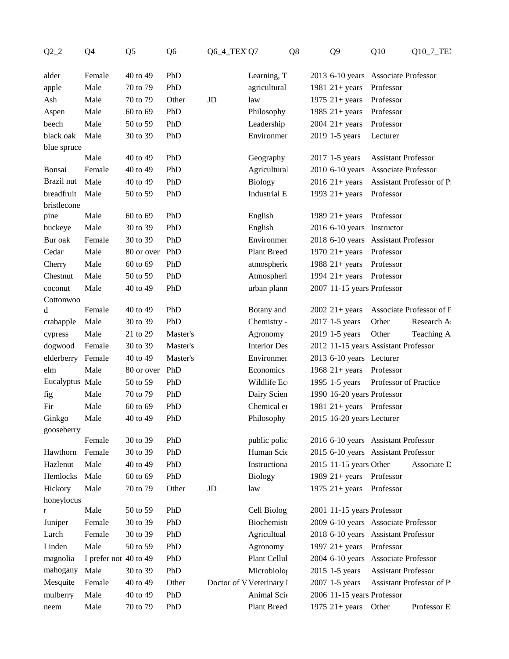| $Q2_2$          | Q <sub>4</sub>        | Q <sub>5</sub> | Q <sub>6</sub> | <b>Q6_4_TEX Q7</b> | Q8                       | Q <sub>9</sub>                          | Q10                        | Q10_7_TE2                 |  |
|-----------------|-----------------------|----------------|----------------|--------------------|--------------------------|-----------------------------------------|----------------------------|---------------------------|--|
| alder           | Female                | 40 to 49       | PhD            |                    | Learning, T              | 2013 6-10 years Associate Professor     |                            |                           |  |
| apple           | Male                  | 70 to 79       | PhD            |                    | agricultural             | 1981 $21 + years$ Professor             |                            |                           |  |
| Ash             | Male                  | 70 to 79       | Other          | JD                 | law                      | 1975 $21 + years$                       | Professor                  |                           |  |
| Aspen           | Male                  | 60 to 69       | PhD            |                    | Philosophy               | 1985 $21 + years$                       | Professor                  |                           |  |
| beech           | Male                  | 50 to 59       | PhD            |                    | Leadership               | $2004$ 21+ years                        | Professor                  |                           |  |
| black oak       | Male                  | 30 to 39       | PhD            |                    | Environmer               | 2019 1-5 years                          | Lecturer                   |                           |  |
| blue spruce     |                       |                |                |                    |                          |                                         |                            |                           |  |
|                 | Male                  | 40 to 49       | PhD            |                    | Geography                | 2017 1-5 years                          | <b>Assistant Professor</b> |                           |  |
| Bonsai          | Female                | 40 to 49       | PhD            |                    | Agricultural             | 2010 6-10 years Associate Professor     |                            |                           |  |
| Brazil nut      | Male                  | 40 to 49       | PhD            |                    | <b>Biology</b>           | 2016 21+ years Assistant Professor of P |                            |                           |  |
| breadfruit Male |                       | 50 to 59       | PhD            |                    | Industrial E             | 1993 $21 + years$ Professor             |                            |                           |  |
| bristlecone     |                       |                |                |                    |                          |                                         |                            |                           |  |
| pine            | Male                  | 60 to 69       | PhD            |                    | English                  | 1989 $21 + years$ Professor             |                            |                           |  |
| buckeye         | Male                  | 30 to 39       | PhD            |                    | English                  | 2016 6-10 years Instructor              |                            |                           |  |
| Bur oak         | Female                | 30 to 39       | PhD            |                    | Environmer               | 2018 6-10 years Assistant Professor     |                            |                           |  |
| Cedar           | Male                  | 80 or over     | PhD            |                    | Plant Breed              | 1970 $21+ years$ Professor              |                            |                           |  |
| Cherry          | Male                  | 60 to 69       | PhD            |                    | atmospheric              | 1988 $21 + years$ Professor             |                            |                           |  |
| Chestnut        | Male                  | 50 to 59       | PhD            |                    | Atmospheri               | 1994 $21+ years$ Professor              |                            |                           |  |
| coconut         | Male                  | 40 to 49       | PhD            |                    | urban plann              | 2007 11-15 years Professor              |                            |                           |  |
| Cottonwoo       |                       |                |                |                    |                          |                                         |                            |                           |  |
| d               | Female                | 40 to 49       | PhD            |                    | Botany and               | $2002 \; 21 + \text{years}$             |                            | Associate Professor of F  |  |
| crabapple       | Male                  | 30 to 39       | PhD            |                    | Chemistry -              | 2017 1-5 years                          | Other                      | Research A:               |  |
| cypress         | Male                  | 21 to 29       | Master's       |                    | Agronomy                 | 2019 1-5 years                          | Other                      | Teaching A                |  |
| dogwood         | Female                | 30 to 39       | Master's       |                    | <b>Interior Des</b>      | 2012 11-15 years Assistant Professor    |                            |                           |  |
| elderberry      | Female                | 40 to 49       | Master's       |                    | Environmer               | 2013 6-10 years Lecturer                |                            |                           |  |
| elm             | Male                  | 80 or over     | PhD<br>PhD     |                    | Economics                | 1968 21+ years Professor                |                            |                           |  |
| Eucalyptus Male |                       | 50 to 59       |                |                    | Wildlife Ec              | 1995 1-5 years                          | Professor of Practice      |                           |  |
| fig             | Male                  | 70 to 79       | PhD            |                    | Dairy Scien              | 1990 16-20 years Professor              |                            |                           |  |
| Fir             | Male                  | 60 to 69       | PhD            |                    | Chemical er              | 1981 21+ years Professor                |                            |                           |  |
| Ginkgo          | Male                  | 40 to 49       | PhD            |                    | Philosophy               | 2015 16-20 years Lecturer               |                            |                           |  |
| gooseberry      | Female                | 30 to 39       | PhD            |                    | public polic             | 2016 6-10 years Assistant Professor     |                            |                           |  |
| Hawthorn        | Female                | 30 to 39       | PhD            |                    | Human Scie               | 2015 6-10 years Assistant Professor     |                            |                           |  |
| Hazlenut        | Male                  | 40 to 49       | PhD            |                    | Instructiona             | 2015 11-15 years Other                  |                            | Associate D               |  |
| Hemlocks        | Male                  | 60 to 69       | PhD            |                    | <b>Biology</b>           | 1989 $21+ years$ Professor              |                            |                           |  |
| Hickory         | Male                  | 70 to 79       | Other          | JD                 | law                      | 1975 $21 + years$ Professor             |                            |                           |  |
| honeylocus      |                       |                |                |                    |                          |                                         |                            |                           |  |
|                 | Male                  | 50 to 59       | PhD            |                    | Cell Biolog              | 2001 11-15 years Professor              |                            |                           |  |
| Juniper         | Female                | 30 to 39       | PhD            |                    | Biochemisti              | 2009 6-10 years Associate Professor     |                            |                           |  |
| Larch           | Female                | 30 to 39       | PhD            |                    | Agricultual              | 2018 6-10 years Assistant Professor     |                            |                           |  |
| Linden          | Male                  | 50 to 59       | PhD            |                    | Agronomy                 | 1997 $21 + years$ Professor             |                            |                           |  |
| magnolia        | I prefer not 40 to 49 |                | PhD            |                    | Plant Cellul             | 2004 6-10 years Associate Professor     |                            |                           |  |
| mahogany        | Male                  | 30 to 39       | PhD            |                    | Microbiolog              | 2015 1-5 years                          | <b>Assistant Professor</b> |                           |  |
| Mesquite        | Female                | 40 to 49       | Other          |                    | Doctor of V Veterinary l | 2007 1-5 years                          |                            | Assistant Professor of P1 |  |
| mulberry        | Male                  | 40 to 49       | PhD            |                    | Animal Scie              | 2006 11-15 years Professor              |                            |                           |  |
| neem            | Male                  | 70 to 79       | PhD            |                    | Plant Breed              | 1975 $21+ years$ Other                  |                            | Professor E               |  |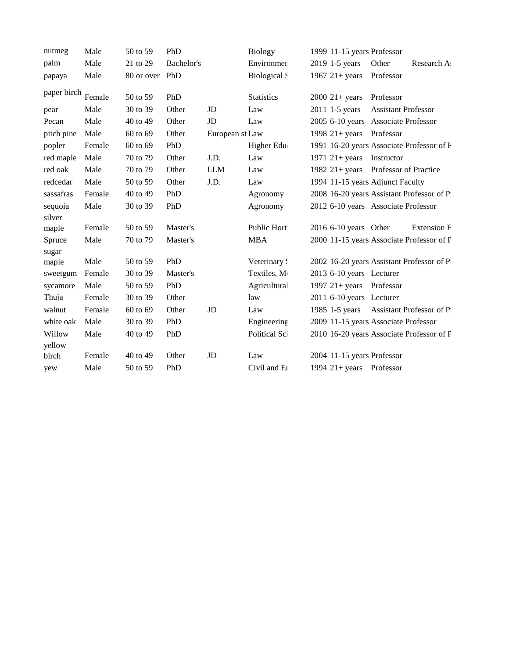| nutmeg      | Male   | 50 to 59       | PhD        |                 | <b>Biology</b>      | 1999 11-15 years Professor           |                            |                                           |
|-------------|--------|----------------|------------|-----------------|---------------------|--------------------------------------|----------------------------|-------------------------------------------|
| palm        | Male   | 21 to 29       | Bachelor's |                 | Environmer          | 2019 1-5 years                       | Other                      | Research A                                |
| papaya      | Male   | 80 or over PhD |            |                 | <b>Biological</b> S | 1967 $21 + years$                    | Professor                  |                                           |
| paper birch | Female | 50 to 59       | PhD        |                 | <b>Statistics</b>   | $2000 \t21 + years$                  | Professor                  |                                           |
| pear        | Male   | 30 to 39       | Other      | JD              | Law                 | 2011 1-5 years                       | <b>Assistant Professor</b> |                                           |
| Pecan       | Male   | 40 to 49       | Other      | JD              | Law                 | 2005 6-10 years Associate Professor  |                            |                                           |
| pitch pine  | Male   | 60 to 69       | Other      | European st Law |                     | 1998 $21 + years$                    | Professor                  |                                           |
| popler      | Female | $60$ to $69$   | PhD        |                 | Higher Edu          |                                      |                            | 1991 16-20 years Associate Professor of F |
| red maple   | Male   | 70 to 79       | Other      | J.D.            | Law                 | 1971 $21+ years$                     | Instructor                 |                                           |
| red oak     | Male   | 70 to 79       | Other      | <b>LLM</b>      | Law                 | 1982 21+ years Professor of Practice |                            |                                           |
| redcedar    | Male   | 50 to 59       | Other      | J.D.            | Law                 | 1994 11-15 years Adjunct Faculty     |                            |                                           |
| sassafras   | Female | 40 to 49       | PhD        |                 | Agronomy            |                                      |                            | 2008 16-20 years Assistant Professor of P |
| sequoia     | Male   | 30 to 39       | PhD        |                 | Agronomy            | 2012 6-10 years Associate Professor  |                            |                                           |
| silver      |        |                |            |                 |                     |                                      |                            |                                           |
| maple       | Female | 50 to 59       | Master's   |                 | Public Hort         | 2016 6-10 years Other                |                            | <b>Extension E</b>                        |
| Spruce      | Male   | 70 to 79       | Master's   |                 | <b>MBA</b>          |                                      |                            | 2000 11-15 years Associate Professor of F |
| sugar       |        |                |            |                 |                     |                                      |                            |                                           |
| maple       | Male   | 50 to 59       | PhD        |                 | Veterinary!         |                                      |                            | 2002 16-20 years Assistant Professor of P |
| sweetgum    | Female | 30 to 39       | Master's   |                 | Textiles, M         | 2013 6-10 years Lecturer             |                            |                                           |
| sycamore    | Male   | 50 to 59       | PhD        |                 | Agricultural        | 1997 $21 + years$                    | Professor                  |                                           |
| Thuja       | Female | 30 to 39       | Other      |                 | law                 | 2011 6-10 years Lecturer             |                            |                                           |
| walnut      | Female | 60 to 69       | Other      | JD              | Law                 | 1985 1-5 years                       |                            | Assistant Professor of P1                 |
| white oak   | Male   | 30 to 39       | PhD        |                 | Engineering         | 2009 11-15 years Associate Professor |                            |                                           |
| Willow      | Male   | 40 to 49       | PhD        |                 | Political Sci       |                                      |                            | 2010 16-20 years Associate Professor of F |
| yellow      |        |                |            |                 |                     |                                      |                            |                                           |
| birch       | Female | 40 to 49       | Other      | JD              | Law                 | 2004 11-15 years Professor           |                            |                                           |
| yew         | Male   | 50 to 59       | PhD        |                 | Civil and E1        | 1994 $21+ years$ Professor           |                            |                                           |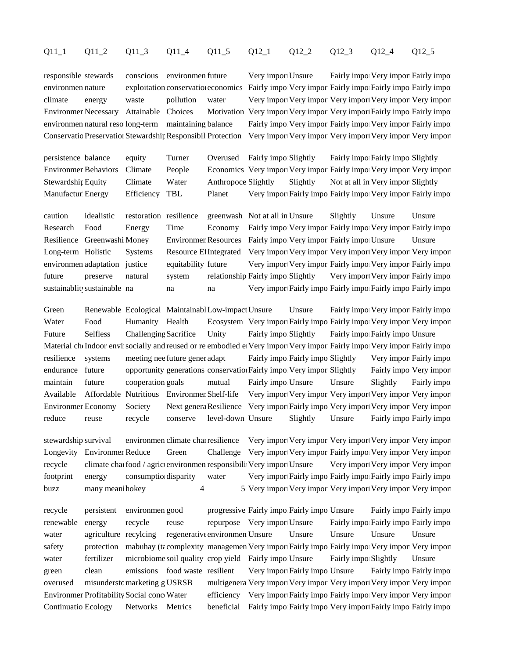## Q11\_1 Q11\_2 Q11\_3 Q11\_4 Q11\_5 Q12\_1 Q12\_2 Q12\_3 Q12\_4 Q12\_5

environmen nature exploitation conservationeconomics Fairly important Fairly importantly important Fairly important Fairly important Fairly important Fairly important Fairly important Fairly important Fairly important Fair climate energy waste pollution water Very import Very import Very import Very import Very import Environmer Necessary Attainable Choices Motivation Very import Very import Very import Fairly importently impo environmen natural reso long-term maintaining balance Fairly important Fairly important Very important Fairly import Conservatio Preservation Stewardship Responsibil Protection Very import Very import Very import Very import Very import

responsible stewards conscious environment uture Very import Unsure Fairly important Very important Fairly import

persistence balance equity Turner Overused Fairly imports Slightly Fairly importantly important Slightly Environmer Behaviors Climate People Economics Very import Very import Fairly import Very import Very import Stewardship Equity Climate Water Anthropoce Slightly Slightly Not at all in Very import Slightly Manufacturi Energy Efficiency TBL Planet Very import Fairly importantly importent Fairly import

caution idealistic restoration resilience greenwash Not at all in Unsure Slightly Unsure Unsure Research Food Energy Time Economy Fairly important Very import Fairly importent Fairly importent Fairly import Resilience Greenwashi Money Environmer Resources Fairly important Fairly important Unsure Unsure Long-term Holistic Systems Resource Et Integrated Very import Very import Very import Very import Very import environmen adaptation justice equitability future Very import Very important Fairly important Fairly important Fairly import future preserve natural system relationship Fairly important Slightly Very import Very import Fairly import sustainablity sustainable na na na na Very import Fairly import Fairly importantly important Fairly important Fairly important Fairly important Fairly important Fairly important Fairly important Fairly important Fairly imp

Green Renewable Ecological MaintainablLow-impact Unsure Unsure Fairly import Fairly import Fairly import Fairly import Water Food Humanity Health Ecosystem Very import Fairly import Fairly import Very import Very import Future Selfless Challenging Sacrifice Unity Fairly imports Selfless Selfless Selfless Selfless Selfless Selfless Selfless Selfless Selfless Selfless Selfless Selfless Selfless Selfless Selfless Selfless Selfless Selfless S Material che Indoor environmentally and reused or reembodied et Very import Very importantly important Fairly importent Fairly important Fairly important Fairly important Fairly important Fairly important Fairly important resilience systems meeting nee future generations Fairly import Fairly important Slightly Very imported Fairly import endurance future opportunity generations conservation Fairly import Slightly Fairly important Slightly Fairly important Slightly Fairly important Order of the Very important Very important Very important Very important Ver maintain future cooperation goals mutual Fairly importune Unsure Slightly Fairly important Unsure Slightly Available Affordable Nutritious Environmer Shelf-life Very import Very import Very import Very import Very import Environmer Economy Society Next genera Resilience Very import Fairly import Very import Very import Very import reduce reuse recycle conserve level-down Unsure Slightly Unsure Fairly importantly important Fairly important F

stewardship survival environmen climate change resilience Very import Very important Very important Very import Longevity Environmer Reduce Green Challenge Very import Very import Fairly import Very import Very import recycle climate change food / agriculture environment responsibility Very import Unsure Very important Very important Very import footprint energy consumption disparity water Very import Fairly importantly importantly important Fairly important Fairly important Fairly important Fairly important Fairly important Fairly important Fairly important Fairl buzz many meani hokey 4 5 Very important Very important Very important Very important Very important Very import

recycle persistent environment good progressive Fairly importantly important Fairly importantly important Fairly important Fairly important Fairly important Fairly important Fairly important Fairly important Fairly importa renewable energy recycle reuse repurpose Very import Unsure Fairly importantly importantly important Fairly important Fairly important Fairly important Fairly important Fairly important Fairly important Fairly important Fa water agriculture recylcing regenerative environment Unsure Unsure Unsure Unsure Unsure Unsure safety protection mabuhay (ta complexity management Very import Fairly important Fairly important Very import water fertilizer microbiome soil quality crop yield Fairly important Unsure Fairly important Unsure green clean emissions food waste resilient Very import Fairly import Fairly importantly important Fairly important Fairly important Fairly important Fairly important Fairly important Fairly important Fairly important Fairl overused misunderstomarketing g USRSB multigenera Very import Very import Very important Very important Very import Environmer Profitability Social conce Water efficiency Very import Fairly important Fairly important Profitability Social conce Water efficiency Very important Fairly important Profitability Social conce Water Continuatio Ecology Networks Metrics beneficial Fairly import Fairly import Fairly import Fairly import Fairly import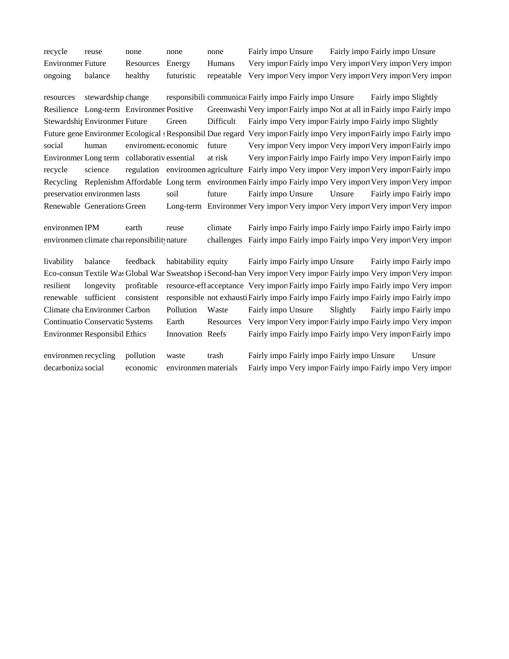recycle reuse none none none Fairly important Fairly important Usure Fairly important Usure Environmer Future Resources Energy Humans Very import Fairly import Very import Very import Very import ongoing balance healthy futuristic repeatable Very import Very import Very import Very import Very import

resources stewardship change responsibili communication Fairly important Fairly important Fairly important Fairly important Fairly important Responsibili communication Fairly important Responsibili extending Fairly importa Resilience Long-term Environmer Positive Greenwashi Very import Fairly import Not at all in Fairly importantly important Rosing Greenwashi Very important Rairly important Rosing Fairly important Rosing Fairly important Ros Stewardship Environmer Future Green Difficult Fairly import Fairly import Fairly imported Fairly imports Fairly important Slightly Future gene Environmer Ecological s Responsibil Due regard Very import Fairly import Fairly important Fairly import Fairly import social human enviromental economic future Very import Very important Very import Very import Fairly impo Environmer Long term collaborativessential at risk Very import Fairly import Fairly importer Fairly important Fairly imported Fairly imported Fairly imported Fairly important Fairly important Fairly important Fairly import recycle science regulation environmentagriculture Fairly important Very import Very import Fairly imported Fairly import Recycling Replenishm Affordable Long term environmen Fairly impo Fairly impo Very import Very import Very import preservation environment lasts soil future Fairly important Unsure Fairly important Fairly important Fairly important Fairly important Fairly important Fairly important Fairly important Fairly important Fairly important Fa Renewable Generations Green Long-term Environmer Very import Very import Very import Very import Very import

environmen IPM earth reuse climate Fairly importantly importantly importantly important Fairly important Fairly important Fairly important Fairly important Fairly important Fairly important Fairly important Fairly importan environmen climate change reponsibility nature challenges Fairly importantly important Fairly important Fairly important Fairly important Fairly important Very import

livability balance feedback habitability equity Fairly importantly importantly importantly important Fairly important Fairly important Fairly important Fairly important Fairly important Fairly important Fairly important Fa Eco-consum Textile Was Global War Sweatshop i Second-han Very import Very import Fairly import Very important Very import resilient longevity profitable resource-eff-acceptance Very import Fairly importantly importantly important Pairly important Fairly important Fairly important Very import renewable sufficient consistent responsible not exhausti Fairly importainly importantly importantly important Fairly important Fairly important Fairly important Fairly important Fairly important Fairly important Fairly imp Climate cha Environmer Carbon Pollution Waste Fairly importune Slightly Fairly importantly important Pollution Waste Fairly important Fairly important Fairly important Fairly important Fairly important Fairly important Fai Continuatio Conservatio Systems Earth Resources Very import Very import Fairly importer Fairly importer Very import Environmer Responsibil Ethics Innovation Reefs Fairly import Fairly import Fairly import Fairly imported Fairly imported Fairly important Responsibil Ethics

environment recycling pollution waste trash Fairly importantly importantly important Unsure Unsure decarboniza social economic environmen materials Fairly important Fairly importantly important Pairly important Fairly important Fairly important Very import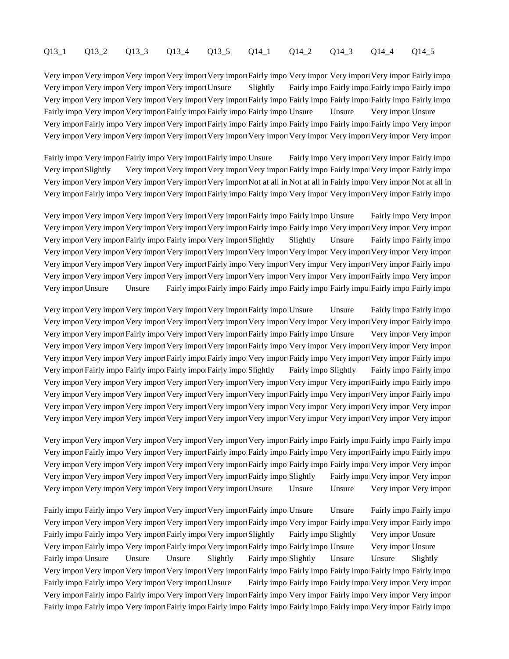# Q13\_1 Q13\_2 Q13\_3 Q13\_4 Q13\_5 Q14\_1 Q14\_2 Q14\_3 Q14\_4 Q14\_5

Very import Very import Very import Very import Very import Fairly impo Very import Very import Very important Fairly impo Very import Very import Very import Very import Unsure Slightly Fairly importantly importantly important Fairly important Fairly important Fairly important Fairly important Fairly important Fairly important Fairly importan Very import Very import Very import Very import Very import Fairly import Fairly important Fairly important Fairly important Fairly important Fairly important Fairly important Fairly important Fairly important Fairly impor Fairly important Very import Very import Fairly important Fairly important Fairly important Fairly important F Very import Fairly impo Very import Very import Fairly impo. Fairly important Fairly important Fairly important F Very import Very import Very import Very import Very import Very import Very import Very import Very important

Fairly important Very import Fairly important Fairly important Fairly important Fairly import Fairly imported Fairly import Fairly import Fairly import Very import Slightly Very import Very import Very import Very import Fairly importent Fairly important Fairly import Very import Very import Very import Very important Very import Not at all in Not at all in Fairly important Not at all in Very import Fairly impo Very import Very import Fairly important Very import Very important Very important Fairly import

Very import Very import Very import Very import Very import Fairly impo Fairly impo Unsure Fairly impo Very import Very import Very import Very import Very import Very import Fairly impo Fairly impo Very import Very import Very import Very import Very import Fairly impote Fairly import Very import Slightly Slightly Unsure Fairly import Fairly important Fairly important Interval Fairly important Interval Tairly important Interval Tairly important Interva Very import Very import Very import Very import Very import Very import Very import Very import Very important Very import Very import Very import Very import Fairly impo Very import Very import Very import Very important F Very import Very import Very import Very import Very import Very import Very import Very import Fairly impo Very import Very import Unsure Unsure Fairly importantly importantly importantly importantly importantly important Fairly important Fairly important Fairly important Fairly important Fairly important Fairly important Fairly important

Very import Very important Very import Very important Very important Versure Unsure Fairly important Fairly important Unsure Fairly important Integration Fairly important Integration Integration Integration Integration Int Very import Very import Very import Very import Very import Very important Very important Very import Fairly impo Very import Very import Fairly import Very import Very import Fairly important Very Important Very important Very import Very import Very import Very import Very import Very import Fairly impo. Very import Very import Very important Very import Very import Very import Very import Fairly import Fairly important Fairly important Very important Very import Very import Fairly importantly important Fairly important Fairly important Fairly important Fairly important Slightly Fairly important Slightly Fairly important Slightly Fairly important Slightly Fairly important Fairly im Very import Very import Very import Very import Very import Very import Very import Very import Fairly important Fairly impo Very import Very import Very import Very import Very import Very import Fairly impo Very import Very import Fairly impo Very import Very import Very import Very import Very import Very import Very import Very import Very important Very import Very import Very import Very import Very import Very import Very import Very import Very important Very import

Very import Very import Very import Very import Very import Very import Fairly important Fairly important Fairly important Fairly important Fairly important Fairly important Fairly important Fairly important Fairly importa Very import Fairly impo Very import Very import Fairly importantly important I importent Fairly important Fairly import Very import Very import Very import Very import Very import Fairly impo Fairly impo Fairly important Very import Very import Very import Very import Very import Very import Fairly impo Slightly Fairly important Very important Very import Very import Very import Very import Very import Very import Unsure Unsure Unsure Very import Very import

Fairly import Fairly important Very import Very import Fairly important Unsure Fairly important Fairly important Fairly important Fairly important Fairly important Fairly important Fairly important Fairly important Fairly Very import Very import Very import Very import Very import Fairly impo Very important Very important Fairly impo Fairly impo<br/> Fairly import Fairly import Fairly import Slightly Fairly impo<br/> Slightly Very import Unsure Very import Fairly impo Very import Fairly important Fairly important Fairly important Fairly import Unsure Very import Unsure Fairly import Unsure Unsure Unsure Slightly Fairly imports Unsure Unsure Slightly Very import Very import Very import Very import Very import Fairly import Fairly important Fairly important Fairly important Fairly important Fairly important Fairly important Fairly important Fairly important Fairly impor Fairly import Fairly important Very important Unsure Fairly important Very important Very important Fairly important Fairly important Fairly important Very import Very import Fairly impo Fairly import Very import Very import Fairly impo Very important Fairly important Very import Fairly import Fairly important Fairly important Fairly important Fairly important Fairly important Fairly important Fairly important Fairly important Fairly important Fairly important Fairly important Fairly important Fair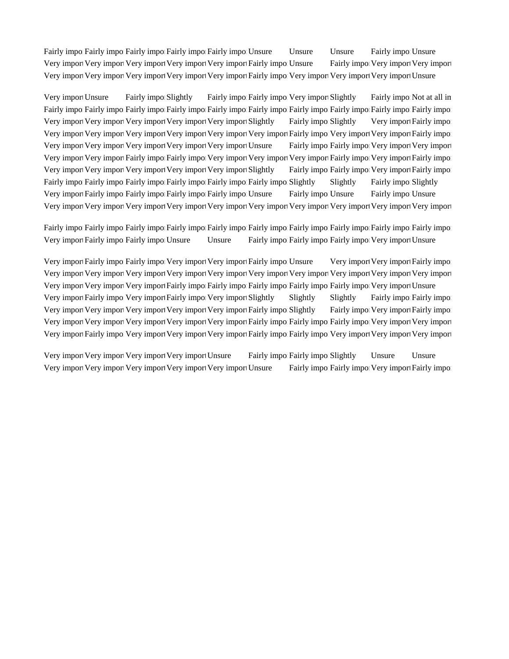Fairly import Fairly important Fairly important Fairly important Fairly important Fairly important Fairly important Fairly important Fairly important Fairly important Unsure Fairly important Unsure Fairly important Usual S Very import Very import Very import Very import Very import Fairly impo. Unsure Fairly important Very important Very import Very import Very import Very import Very import Very import Fairly impo Very import Very import Very import Unsure

Very import Unsure Fairly important Slightly Fairly importantly important Slightly Fairly important all in Fairly import Fairly importantly importantly important Fairly important Fairly important Fairly important Fairly important Fairly important Fairly important Fairly important Fairly important Fairly important Fairly importa Very import Very important Very import Very import Very import Slightly Fairly impo Slightly Very import Fairly import Very import Very import Very import Very import Very import Very import Fairly important Very important Fairly import Very import Very import Very import Very import Very import Unsure Fairly impo Fairly important Very important Very import Very import Very import Fairly impot Fairly import Very import Very important Very important Very important Fairly important Fairly important Fairly important Fairly important Fairly important Fairly important Fairly impor Very import Very import Very import Very import Very import Slightly Fairly important Very important Fairly import Fairly importantly important Fairly important Fairly important Fairly important Fairly important Fairly important Fairly important Fairly important Fairly important Fairly important Slightly Fairly important Slightly Very import Fairly importantly importantly important Fairly important Fairly important Fairly important University Insure Very import Very import Very import Very import Very import Very import Very import Very import Very important

Fairly import Fairly important Fairly important Fairly important Fairly important Fairly important Fairly important Fairly important Fairly important Fairly important Fairly important Fairly important Fairly important Fair Very import Fairly import Fairly importune Unsure Fairly important Fairly important Fairly importune Unsure

Very import Fairly impo Fairly important Very import Fairly important Usure Very important Very important Fairly import Very import Very import Very import Very import Very import Very import Very import Very import Very important Very import Very import Very import Very import Fairly impo: Fairly impo. Fairly important Fairly important Fairly important Fairly import Unsure Very import Fairly importent Fairly import Fairly import Slightly Slightly Slightly Fairly import Fairly importent Fairly importent Fairly importent Fairly important Fairly important Fairly important Fairly important Fairl Very import Very import Very import Very import Very import Fairly impo Slightly Fairly important Fairly import Very import Very import Very import Very import Very import Fairly impo Fairly impo Fairly important Very import Very import Fairly impo Very import Very import Very import Fairly impo Fairly impo Very import Very import Very import

Very import Very import Very import Very import Unsure Fairly important Fairly important Unsure Unsure Unsure Very import Very import Very import Very import Very import Unsure Fairly important Very important Fairly impo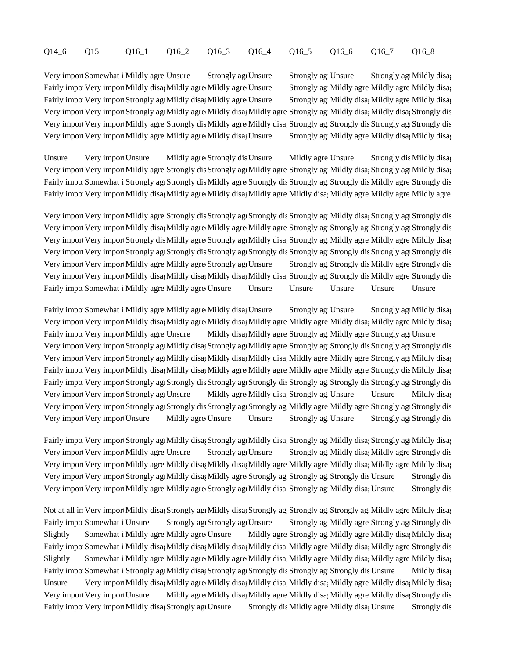# Q14\_6 Q15 Q16\_1 Q16\_2 Q16\_3 Q16\_4 Q16\_5 Q16\_6 Q16\_7 Q16\_8

Very import Somewhat i Mildly agree Unsure Strongly agreeunsure Strongly agreed Strongly agreeMildly disagreed Fairly import Wery import Mildly disagret Mildly agree Mildly agree Unsure Strongly agreeMildly agree Mildly disagreeMildly disagreeMildly disagreeMildly disagreeMildly disagreeMildly disagreeMildly disagreeMildly disagree Fairly import Very import Strongly agree Mildly disagreed Mildly agree Strongly agreement of Strongly agreement Strongly agreement Strongly agreement of Mildly disagreement of Mildly disagreement of Mildly disagreement of Very import Very import Strongly agret Mildly agree Mildly disagree Strongly agree Mildly disagrees Mildly disagreed Mildly disagreed Mildly disagree Strongly dis Very import Very import Mildly agreeStrongly dis Mildly agree Mildly disa; Strongly agrees Strongly disagrees Strongly disagree Strongly disagree Strongly agrees Strongly agrees Strongly agrees Strongly agrees Strongly agr Very import Very import Mildly agree Mildly agree Mildly disage Strongly age Mildly agree Mildly disagree Mildly disagree Mildly disagree Mildly disagree Mildly disagree Mildly disagree Mildly disagree Mildly disagree Mild

Unsure Very import Unsure Mildly agree Strongly dis Unsure Mildly agree Unsure Strongly dis Mildly disagree Unsure Very import Very import Mildly agree Strongly dis Strongly agt Mildly agree Strongly agt Mildly disag Strongly agt Mildly disagree Fairly importsomewhat in Strongly agreestrongly dis Mildly agree Strongly dis Strongly agreestrongly disagreestrongly disagree Strongly disagreestrongly disagreestrongly disagreestrongly disagreestrongly disagreestrongly d Fairly import Wery import Mildly disag Mildly agree Mildly disagree Mildly disagree Mildly agree Mildly agree Mildly agree Mildly agree

Very import Very import Mildly agre Strongly dis Strongly agrees Strongly disagreed Strongly agrees Strongly dis Very import Very import Mildly disa, Mildly agree Mildly agree Mildly agree Strongly agt Strongly agreestrongly agreestrongly agreestrongly agreestrongly agreestrongly disagrees Very import Very import Strongly dis Mildly agree Strongly agree Mildly disa; Strongly agreeMildly agree Mildly disagree Mildly disagree Very import Very import Strongly agt Strongly dis Strongly agrees Strongly agrees Strongly disagrees Strongly agrees Very import Very import Mildly agree Mildly agree Strongly agreestrongly agreestrongly disagreestrongly disagree Strongly disagree Strongly disagreestrongly disagreestrongly disagreestrongly disagreestrongly disagreestrong Very import Very import Mildly disag Mildly disag Mildly disagree Strongly agrees Mildly agree Strongly dis Fairly imports Somewhat important Somewhat important Mildly agree Unsure Unsure Unsure Unsure Unsure Unsure Unsure

Fairly imports Somewhat in Mildly agree Mildly agree Mildly disagree Strongly agreeunsure Strongly agreeMildly disagreed Strongly agreed Strongly agreeMildly disagreed Strongly agreements Very import Very import Mildly disag Mildly agree Mildly disag Mildly agree Mildly agree Mildly disagreemildly disagree Mildly disagreeming Fairly import Wildly agree Unsure Mildly disagree Mildly agree Strongly agree Mildly agree Strongly agree Unsure Very import Very import Strongly agt Mildly disag Strongly agre Mildly agree Strongly agreeStrongly disagreestrongly agreestrongly agreestrongly agreestrongly agreestrongly agreestrongly agreestrongly agreestrongly disagre Very import Very import Strongly agree Mildly disag Mildly disagree Mildly agree Mildly agree Strongly agree Mildly disagree Fairly import Wery import Mildly disa; Mildly disa; Mildly agree Mildly agree Mildly agree Strongly dis Mildly disa; Fairly important Very important Strongly agrees Strongly agrees Strongly disagrees Strongly disagreed Strongly agrees Strongly dis Strongly agreed Strongly disagrees Strongly disagrees Strongly agrees Strongly disagrees St Very import Very import Strongly agre Unsure Mildly agree Mildly disa; Strongly age Unsure Unsure Mildly disa; Very import Very import Strongly agrees Strongly dis Strongly agree Strongly agree Mildly agree Strongly agreeStrongly disagreeStrongly disagreeStrongly disagreeStrongly disagreeStrongly disagreeStrongly disagreeStrongly d Very important Very important Unsure Mildly agree Unsure Strongly agreed Strongly agree Strongly agreed Strongly dis

Fairly import Very import Strongly agree Mildly disagreed Strongly agreed Strongly agreed Strongly agreed Strongly agreed Strongly agreed Strongly agreed Strongly agreed Strongly agreed Strongly agreed Strongly agreed Stro Very import Very import Mildly agree Unsure Strongly agree Strongly agreem Strongly agree Strongly disagree Strongly disagree Strongly agree Strongly disagree Strongly disagree Strongly disagree Strongly disagrees Strongly Very import Very import Mildly agree Mildly disa; Mildly disa; Mildly agree Mildly agree Mildly disa; Mildly agree Mildly disa; Very import Very import Strongly agrigorially disagree Strongly agrees Strongly agrigorial Strongly disagree Strongly disagreed Strongly disagreed Strongly disagrees Strongly disagrees Strongly disagree Strongly disagree S Very import Very import Mildly agree Mildly agree Strongly agree Mildly disagreed Strongly agreement Strongly dis

Not at all in Very import Mildly disa; Strongly agt Mildly disa; Strongly agreestrongly agreement Mildly disagreement of the Strongly agreement of the Strongly agreement of the Strongly agreement of the Strongly agreement Fairly imports Somewhat i Unsure Strongly agrees Strongly agrees Strongly agrees Strongly agree Strongly agreeStrongly disagreeStrongly agreeStrongly agreeStrongly agreeStrongly disagreeStrongly agreeStrongly agreeStrongly Slightly Somewhat i Mildly agree Mildly agree Unsure Mildly agree Strongly agreeMildly agree Mildly disagree Mildly disagree Fairly imports Somewhat i Mildly disagree Mildly disagree Mildly disagree Mildly disagree Mildly disagree Strongly dis Slightly Somewhat i Mildly agree Mildly agree Mildly agree Mildly disa; Mildly agree Mildly disagree Mildly disagree Mildly disagree Mildly disagree Mildly disagree Mildly disagree Mildly disagree Mildly disagree Mildly di Fairly importsomewhat in Strongly agree Mildly disagreed Strongly agreed Strongly agreed Strongly disagreement Mildly disagreed Strongly agreement of Mildly disagreed Strongly agreement of Mildly disagree Mildly disagree S Unsure Very import Mildly disag Mildly agree Mildly disagree Mildly disagree Mildly agree Mildly disagree Mildly disagree Mildly disagree Mildly disagree Mildly disagree Mildly disagree Mildly disagree Mildly disagree Mild Very import Very import Unsure Mildly agree Mildly disa<sub>j</sub> Mildly agree Mildly disagree Mildly disagree Mildly disagree Mildly disagree Mildly disagree Mildly disagree Strongly dis Fairly import Wildly disagree Strongly agrees Strongly disagree Mildly agree Mildly disagree Strongly dis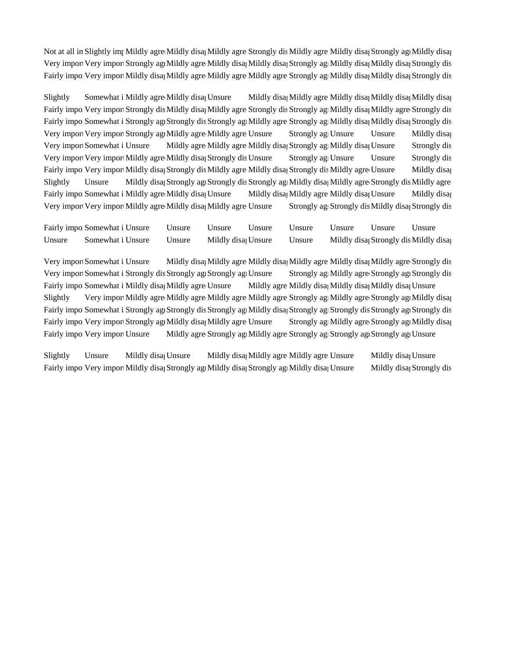Not at all in Slightly important Mildly agree Mildly disagree Strongly dis Mildly agree Mildly disagreement Mildly disagreement of the Mildly disagreement of the Mildly disagreement of the Strongly agreement of the Strongl Very import Very import Strongly agree Mildly agree Mildly disagreed Strongly agreed Mildly disagreed Strongly disagreed Strongly disagree Mildly disagree Strongly disagree Strongly disagree Strongly disagree Strongly disa Fairly import Wildly disagree Mildly agree Mildly agree Mildly agree Strongly agree Mildly disagreestrongly disagreed Strongly disagree Strongly disagree Strongly disagree Strongly disagree Mildly disagree Strongly disagre

Slightly Somewhat i Mildly agree Mildly disagerem Mildly disagreem Mildly agree Mildly disagree Mildly disagree Mildly disagree Mildly disagree Mildly disagree Mildly disagree Mildly disagree Mildly disagree Mildly disagr Fairly import Very import Strongly dis Mildly disa; Mildly agre Strongly dis Strongly agramildly disa; Mildly agree Strongly dis Fairly importsomewhat in Strongly agreestrongly agreestrongly agree Strongly agree Mildly disagreestrongly disagreed Strongly disagreed Strongly disagreed Strongly disagreed Strongly disagree Strongly disagree Strongly dis Very import Very import Strongly agri Mildly agree Mildly agree Unsure Strongly age Unsure Unsure Mildly disag Very import Somewhat i Unsure Mildly agree Mildly agree Mildly disagree Strongly agreement of Strongly disagree Very import Very import Mildly agree Mildly disager Strongly disagree Strongly agers Unsure Strongly dis Fairly import Wery import Mildly disagret Mildly agree Mildly disagree Mildly disagree Unsure Mildly disagree Mildly disagree Mildly disagree Mildly disagree Mildly disagree Mildly disagree Mildly disagree Unsure Mildly di Slightly Unsure Mildly disag Strongly agrees Strongly agrees Mildly disagrees Strongly dis Mildly agree Fairly importsomewhat i Mildly agree Mildly disagreunsure Mildly disagreemildly disagree Mildly disagree Mildly disagree Mildly disagree Mildly disagree Mildly disagree Mildly disagree Mildly disagree Mildly disagree Mildl Very import Very import Mildly agree Mildly disagree Unsure Strongly age Strongly disagreed Mildly disagreed Mi

|        | Fairly impo Somewhat i Unsure Unsure Unsure Unsure Unsure Unsure Unsure Unsure Unsure |  |  |  |                                        |
|--------|---------------------------------------------------------------------------------------|--|--|--|----------------------------------------|
| Unsure | Somewhat i Unsure Unsure Mildly disa Unsure Unsure                                    |  |  |  | Mildly disa; Strongly dis Mildly disa; |

Very import Somewhat i Unsure Mildly disag Mildly agree Mildly disagree Mildly agree Mildly disagree Strongly dis Very import Somewhat i Strongly dis Strongly agrees Strongly agrees Strongly agrees Strongly agree Strongly agree Strongly dis Fairly importsomewhat i Mildly disag Mildly agree Unsure Mildly agree Mildly disagree Mildly disagree Mildly disagree Unsure Slightly Very import Mildly agree Mildly agree Mildly agree Mildly agree Strongly agreement Mildly disagree Strongly agreement of the Mildly disagreement of the Mildly disagreement of the Mildly disagreement of the Mildly Fairly importsomewhat in Strongly agrees Strongly agreed Strongly agrees Strongly disagreed Strongly agreed Strongly disagreed Strongly disagreed Strongly agrees Strongly disagreed Strongly agrees Strongly disagrees Strong Fairly import Very import Strongly agreemildly disagreed Unsure Strongly agreemingly agree Strongly agree Mildly disagree Fairly import Very import Unsure Mildly agree Strongly agree Strongly agreestrongly agreestrongly agreed Unsure

Slightly Unsure Mildly disa<sub>1</sub> Unsure Mildly disagree Mildly agree Unsure Mildly disagree Unsure Fairly import Wildly disagree Strongly agreed Strongly agreed Strongly agreed Mildly disagreem Mildly disagreement Mildly disagreed Strongly disagree Strongly disagree Strongly disagree Strongly disagree Strongly disagree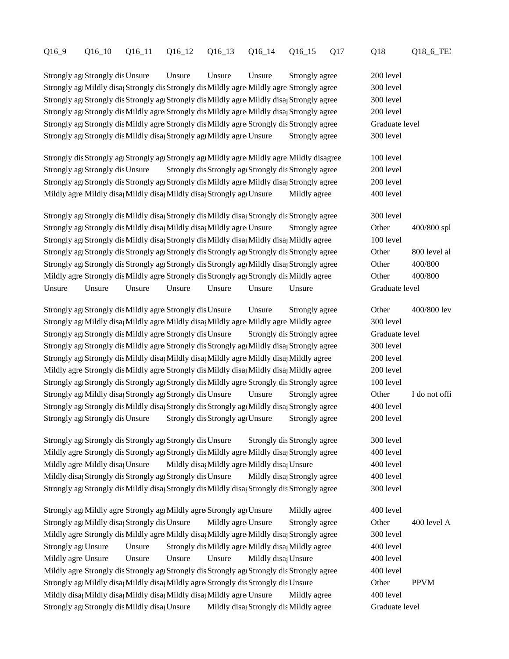#### Q16\_9 Q16\_10 Q16\_11 Q16\_12 Q16\_13 Q16\_14 Q16\_15 Q17 Q18 Q18\_6\_TEXT

Strongly agree Strongly dis Unsure Unsure Unsure Unsure Strongly agree 200 level Strongly agree Mildly disagree Strongly disagree Strongly agree Strongly agree 300 level Strongly agree Strongly dis Strongly agree Strongly dis Mildly agree Mildly disagree Strongly agree Strongly agree Strongly agree Strongly agree Strongly agree Strongly agree Strongly agree Strongly agree Strongly agree St Strongly agree Strongly disagree Strongly dis Mildly agree Mildly disagree and 200 level Strongly agree Strongly disagree Strongly dis Mildly agree Strongly dis Strongly agree Graduate level Strongly agree Strongly dis Mildly disagree Mildly agree Mildly agree Strongly agree 300 level

Strongly dis Strongly agrees Strongly agree Strongly agreeMildly agreeMildly disagree and 100 level Strongly agree Strongly dis Unsure Strongly dis Strongly agree Strongly agree 200 level Strongly agree Strongly dis Strongly agree Strongly dis Mildly agree Mildly disagree Strongly agree 200 level Mildly agree Mildly disagree Mildly disagree Mildly disagree and Mildly agree  $\sim$  400 level

Strongly agree 300 level Strongly disagree Strongly dis Mildly disagree Strongly agree Strongly agree Stongly dis Mildly disagree Stongly agree Stongly agree Stongly agree Stongly agree Stongly agree Stongly agree Stongly Strongly agree and Strongly disagree Mildly disagree Mildly agree Mildly agree Other 400/800 spl Strongly agree Strongly dis Mildly disagree Strongly dis Mildly disagree Mildly agree Mildly agree Mildly disagree Mildly agree Mildly agree Mildly agree Mildly agree Mildly agree Mildly agree Mildly agree Mildly agree Mil Strongly agree Strongly disagree Strongly agree Strongly agree Strongly agree Stongly agree Stongly agree Stongly disagree Stongly agree Stongly agree Stongly agree Stongly agree Stongly agree Stongly agree Stongly agreeme Strongly agree Strongly disagree Strongly agree Strongly agree Strongly agree Strongly agree A00/800 Mildly agree Strongly dis Mildly agree Strongly dis Strongly agries agree Strongly dis Mildly agree Other 400/800 Unsure Unsure Unsure Unsure Unsure Unsure Unsure Graduate level

Strongly agree Strongly dis Mildly agree Strongly dis Unsure Unsure Strongly agree Other 400/800 lev Strongly age Mildly disagreem Mildly disagree Mildly agree Mildly agree Mildly agree 300 level Strongly agree Strongly disagree Strongly disagree Strongly dis Strongly agree Graduate level Strongly agree Strongly dis Mildly agree Strongly dis Strongly agrifieldly disagree Strongly agree Strongly agree Strongly agree Strongly agree Strongly agree Strongly agree Strongly agree Strongly agree Strongly agree Str Strongly age Strongly dis Mildly disagree Mildly disagree Mildly disagree and agree and the 200 level Mildly agree Strongly dis Mildly agree Strongly dis Mildly disagree Mildly agree Mildly agree 200 level Strongly agree Strongly disagree Strongly dis Mildly agree Strongly dis Strongly agree 100 level Strongly agree Mildly disagree Unsure Unsure Unsure Strongly agree Other I do not officially teach a course, help with some like food to some like form of the food to some like food to the food to the food to the I do not Strongly agree 400 level and Mildly disagree Strongly dis Strongly agree Analyzing agree Strongly agree 400 level Strongly agree Strongly dis Unsure Strongly dis Strongly agree Strongly agree 200 level

Strongly agree Strongly disagree Strongly dis Unsure Strongly dis Strongly agree 300 level Mildly agree Strongly dis Strongly agr Strongly dis Mildly agree Mildly disagree and 400 level Mildly agree Mildly disagreem Mildly disagreemildly disagree Mildly disagree Mildly agreement and Mondevell and Mondevell and Mondevell and Mondevell and Mondevell and Mondevell and Mondevell and Mondevell and Mondevell an Mildly disagree Strongly disagree Strongly agree Strongly disagree Strongly agree Strongly agree Strongly agree  $400$  level Strongly agree 300 level Strongly disagree Strongly dis Mildly disagree Strongly agree Strongly agree Stongly dis Mildly disagree Stongly agree Stongly agree Stongly agree Stongly agree Stongly agree Stongly agree Stongly

Strongly age Mildly agree Strongly age Mildly agree Strongly ages Unsure Mildly agree 400 level Strongly agree Mildly disagreed All Strongly disagree Unsure Strongly agree Other 400 level A Mildly agree Strongly dis Mildly agree Mildly disagree Mildly agree Mildly disagree and Strongly agree 300 level Strongly agree Unsure Unsure Strongly dis Mildly agree Mildly disagree 400 level Mildly agree Unsure Unsure Unsure Unsure Mildly disage Unsure 400 level Mildly agree Strongly dis Strongly agree Strongly agree Strongly agree Strongly agree Strongly agree Strongly agree Strongly agree Strongly agree Strongly agree Strongly agree Strongly agree Strongly agree Strongly agree S Strongly agramatildly disagreed Mildly disagree Strongly disagreed Unsure Chern PPVM Mildly disagree Mildly disagree Mildly disagree Mildly agree Mildly agree 400 level Strongly agries Strongly dis Mildly disagree United Mildly disagree Strongly disagree Graduate level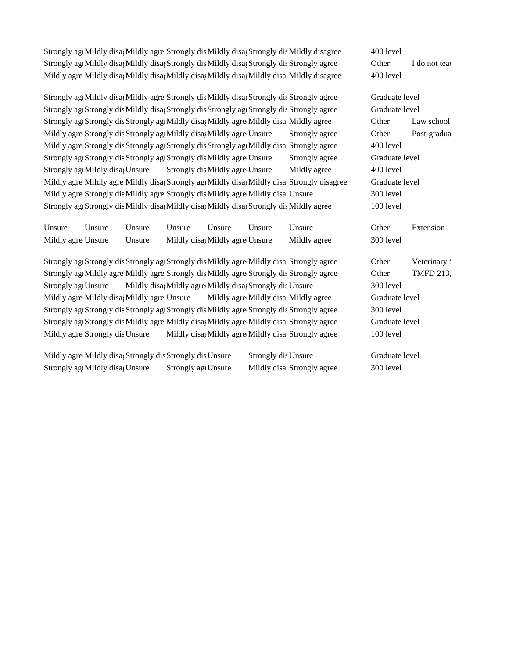Strongly agramatildly disagreed Mildly agree Strongly disagree Mildly disagree Strongly dis Mildly disagree 400 level Strongly ag Mildly disa; Mildly disa; Strongly dis Mildly disa; Strongly dis Strongly agree Demonds of the Indiana of the Indian of the Indian of the Indian of the Indian of the Indian of the Indian of the Indian of the In Mildly agree Mildly disagree 400 level Mildly disagree and Mildly disagree Mildly disagree 400 level

Strongly agramildly disagree Mildly agree Strongly dis Mildly disagree Strongly dis Strongly agree Graduate level Strongly agree Graduate level and Strongly disagree Strongly disagree Strongly agree Strongly agree Graduate level Strongly agree Strongly dis Strongly agree Mildly disagree Mildly disagree Stongly agree Law school Mildly agree Strongly dis Strongly agr Mildly disage Mildly agree Unsure Strongly agree Other Post-graduate Disc Mildly agre Strongly dis Strongly agr Strongly dis Strongly agridleright disagree Mildly agree 400 level Strongly agree Graduate level Strongly agree Strongly agree Graduate level Strongly agramation and Strongly disagree Unsure Mildly agree 400 level Mildly agree Mildly agree Mildly disagreemingly agreed Mildly disagree Strongly disagree Graduate level Mildly agrees Strongly dis Mildly agree Strongly dis Mildly agree Mildly disage Unsure 300 level Strongly agries Strongly dis Mildly disagree Mildly disagree Mildly disagree Mildly agree Mildly agree Mildly agree Mildly agree Mildly agree Mildly agree Mildly agree Mildly agree Mildly agree Mildly agree Mildly agree Mi

Unsure Unsure Unsure Unsure Unsure Unsure Unsure Other Extension Mildly agree Unsure Unsure Mildly disagree Mildly agree Mildly agree 300 level

Strongly agree Strongly dis Strongly agree Strongly dis Mildly agree Mildly disagree Strongly agree Veterinary School and Strongly agreement of the Veterinary School and Strongly agreement of the Strongly agree Strongly ag Strongly agret Mildly agree Mildly agree Strongly dis Mildly agree Strongly dis Strongly agree Other TMFD 213, Strongly age Unsure Mildly disagree Mildly agree Mildly disagree Strongly dis Unsure 300 level Mildly agree Mildly disa; Mildly agree Unsure Mildly agree Mildly disa; Mildly agree Graduate level Strongly agree Strongly disagree Strongly dis Mildly agree Strongly dis Strongly agree 300 level Strongly agree Strongly dis Mildly agree Mildly disagree Mildly agree Mildly disagree Graduate level Mildly agree Strongly dis Unsure Mildly disagree Mildly agree Mildly disagree and 100 level

Mildly agree Mildly disageree Strongly dis Unsure Strongly dis Unsure Graduate level Strongly agree Mildly disagree Strongly agree Unsure Mildly disagree Strongly agree 300 level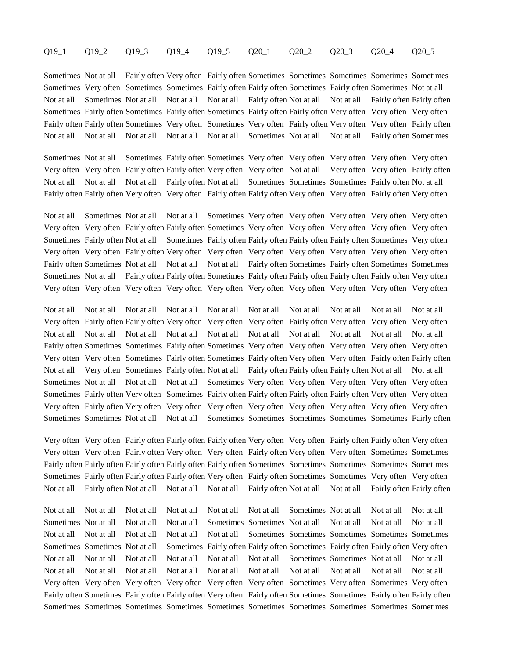#### Q19\_1 Q19\_2 Q19\_3 Q19\_4 Q19\_5 Q20\_1 Q20\_2 Q20\_3 Q20\_4 Q20\_5

Sometimes Not at all Fairly often Very often Fairly often Sometimes Sometimes Sometimes Sometimes Sometimes Sometimes Very often Sometimes Sometimes Fairly often Fairly often Sometimes Fairly often Sometimes Not at all Not at all Sometimes Not at all Not at all Not at all Fairly often Not at all Not at all Fairly often Fairly often Sometimes Fairly often Sometimes Fairly often Sometimes Fairly often Fairly often Very often Very often Very often Fairly often Fairly often Sometimes Very often Sometimes Very often Fairly often Very often Very often Fairly often Not at all Not at all Not at all Not at all Not at all Sometimes Not at all Not at all Fairly often Sometimes

Sometimes Not at all Sometimes Fairly often Sometimes Very often Very often Very often Very often Very often Very often Very often Fairly often Fairly often Very often Very often Not at all Very often Very often Fairly often Not at all Not at all Not at all Fairly often Not at all Sometimes Sometimes Sometimes Fairly often Not at all Fairly often Fairly often Very often Very often Fairly often Fairly often Very often Very often Fairly often Very often

Not at all Sometimes Not at all Not at all Sometimes Very often Very often Very often Very often Very often Very often Very often Fairly often Fairly often Sometimes Very often Very often Very often Very often Very often Sometimes Fairly often Not at all Sometimes Fairly often Fairly often Fairly often Fairly often Sometimes Very often Very often Very often Fairly often Very often Very often Very often Very often Very often Very often Very often Fairly often Sometimes Not at all Not at all Not at all Fairly often Sometimes Fairly often Sometimes Sometimes Sometimes Not at all Fairly often Fairly often Sometimes Fairly often Fairly often Fairly often Fairly often Very often Very often Very often Very often Very often Very often Very often Very often Very often Very often Very often

Not at all Not at all Not at all Not at all Not at all Not at all Not at all Not at all Not at all Not at all Very often Fairly often Fairly often Very often Very often Very often Fairly often Very often Very often Very often Not at all Not at all Not at all Not at all Not at all Not at all Not at all Not at all Not at all Not at all Fairly often Sometimes Sometimes Fairly often Sometimes Very often Very often Very often Very often Very often Very often Very often Sometimes Fairly often Sometimes Fairly often Very often Very often Fairly often Fairly often Not at all Very often Sometimes Fairly often Not at all Fairly often Fairly often Fairly often Not at all Not at all Sometimes Not at all Not at all Not at all Sometimes Very often Very often Very often Very often Very often Sometimes Fairly often Very often Sometimes Fairly often Fairly often Fairly often Fairly often Very often Very often Very often Fairly often Very often Very often Very often Very often Very often Very often Very often Very often Sometimes Sometimes Not at all Not at all Sometimes Sometimes Sometimes Sometimes Sometimes Fairly often

Very often Very often Fairly often Fairly often Fairly often Very often Very often Fairly often Fairly often Very often Very often Very often Fairly often Very often Very often Fairly often Very often Very often Sometimes Sometimes Fairly often Fairly often Fairly often Fairly often Fairly often Sometimes Sometimes Sometimes Sometimes Sometimes Sometimes Fairly often Fairly often Fairly often Very often Fairly often Sometimes Sometimes Very often Very often Not at all Fairly often Not at all Not at all Not at all Fairly often Not at all Not at all Fairly often Fairly often

Not at all Not at all Not at all Not at all Not at all Not at all Sometimes Not at all Not at all Not at all Sometimes Not at all Not at all Not at all Sometimes Sometimes Not at all Not at all Not at all Not at all Not at all Not at all Not at all Not at all Not at all Sometimes Sometimes Sometimes Sometimes Sometimes Sometimes Sometimes Not at all Sometimes Fairly often Fairly often Sometimes Fairly often Fairly often Very often Not at all Not at all Not at all Not at all Not at all Not at all Sometimes Sometimes Not at all Not at all Not at all Not at all Not at all Not at all Not at all Not at all Not at all Not at all Not at all Not at all Very often Very often Very often Very often Very often Very often Sometimes Very often Sometimes Very often Fairly often Sometimes Fairly often Fairly often Very often Fairly often Sometimes Sometimes Fairly often Fairly often Sometimes Sometimes Sometimes Sometimes Sometimes Sometimes Sometimes Sometimes Sometimes Sometimes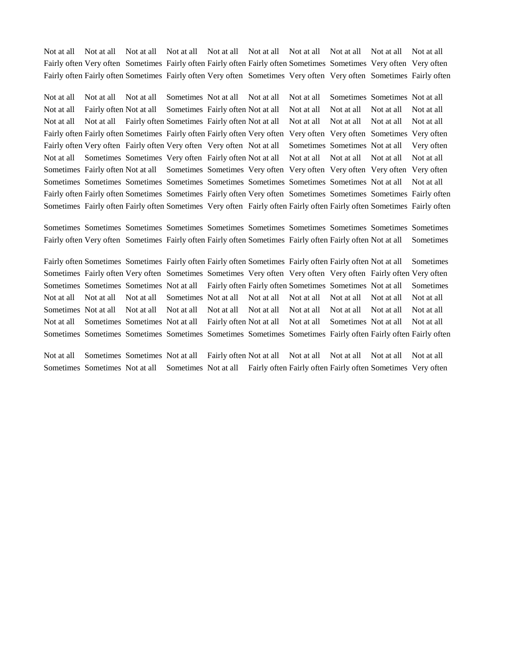Not at all Not at all Not at all Not at all Not at all Not at all Not at all Not at all Not at all Not at all Fairly often Very often Sometimes Fairly often Fairly often Fairly often Sometimes Sometimes Very often Very often Fairly often Fairly often Sometimes Fairly often Very often Sometimes Very often Very often Sometimes Fairly often

Not at all Not at all Not at all Sometimes Not at all Not at all Not at all Sometimes Sometimes Not at all Not at all Fairly often Not at all Sometimes Fairly often Not at all Not at all Not at all Not at all Not at all Not at all Not at all Fairly often Sometimes Fairly often Not at all Not at all Not at all Not at all Not at all Fairly often Fairly often Sometimes Fairly often Fairly often Very often Very often Very often Sometimes Very often Fairly often Very often Fairly often Very often Very often Not at all Sometimes Sometimes Not at all Very often Not at all Sometimes Sometimes Very often Fairly often Not at all Not at all Not at all Not at all Not at all Sometimes Fairly often Not at all Sometimes Sometimes Very often Very often Very often Very often Very often Sometimes Sometimes Sometimes Sometimes Sometimes Sometimes Sometimes Sometimes Not at all Not at all Fairly often Fairly often Sometimes Sometimes Fairly often Very often Sometimes Sometimes Sometimes Fairly often Sometimes Fairly often Fairly often Sometimes Very often Fairly often Fairly often Fairly often Sometimes Fairly often

Sometimes Sometimes Sometimes Sometimes Sometimes Sometimes Sometimes Sometimes Sometimes Sometimes Fairly often Very often Sometimes Fairly often Fairly often Sometimes Fairly often Fairly often Not at all Sometimes

Fairly often Sometimes Sometimes Fairly often Fairly often Sometimes Fairly often Fairly often Not at all Sometimes Sometimes Fairly often Very often Sometimes Sometimes Very often Very often Very often Fairly often Very often Sometimes Sometimes Sometimes Not at all Fairly often Fairly often Sometimes Sometimes Not at all Sometimes Not at all Not at all Not at all Sometimes Not at all Not at all Not at all Not at all Not at all Not at all Sometimes Not at all Not at all Not at all Not at all Not at all Not at all Not at all Not at all Not at all Not at all Sometimes Sometimes Not at all Fairly often Not at all Not at all Sometimes Not at all Not at all Sometimes Sometimes Sometimes Sometimes Sometimes Sometimes Sometimes Fairly often Fairly often Fairly often

Not at all Sometimes Sometimes Not at all Fairly often Not at all Not at all Not at all Not at all Not at all Sometimes Sometimes Not at all Sometimes Not at all Fairly often Fairly often Fairly often Sometimes Very often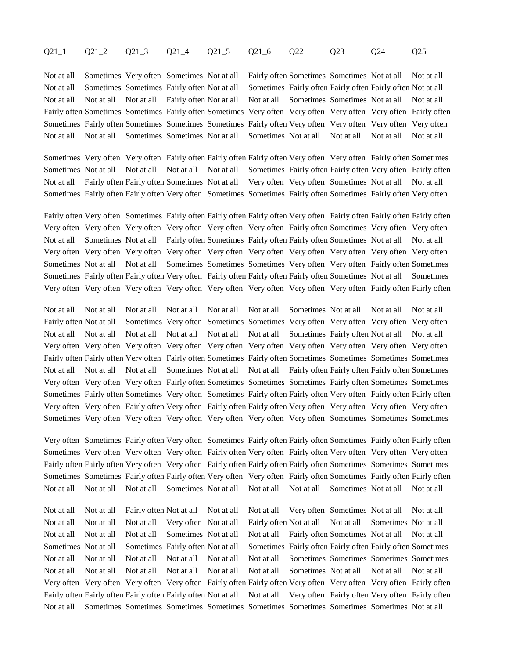## Q21\_1 Q21\_2 Q21\_3 Q21\_4 Q21\_5 Q21\_6 Q22 Q23 Q24 Q25

Not at all Sometimes Very often Sometimes Not at all Fairly often Sometimes Sometimes Not at all Not at all Not at all Sometimes Sometimes Fairly often Not at all Sometimes Fairly often Fairly often Fairly often Not at all Not at all Not at all Not at all Fairly often Not at all Not at all Sometimes Sometimes Not at all Not at all Fairly often Sometimes Sometimes Fairly often Sometimes Very often Very often Very often Very often Fairly often Sometimes Fairly often Sometimes Sometimes Sometimes Fairly often Very often Very often Very often Very often Not at all Not at all Sometimes Sometimes Not at all Sometimes Not at all Not at all Not at all Not at all

Sometimes Very often Very often Fairly often Fairly often Fairly often Very often Very often Fairly often Sometimes Sometimes Not at all Not at all Not at all Not at all Sometimes Fairly often Fairly often Tairly often Fairly often Not at all Fairly often Fairly often Sometimes Not at all Very often Very often Sometimes Not at all Not at all Sometimes Fairly often Fairly often Very often Sometimes Sometimes Fairly often Sometimes Fairly often Very often

Fairly often Very often Sometimes Fairly often Fairly often Fairly often Very often Fairly often Fairly often Fairly often Very often Very often Very often Very often Very often Very often Fairly often Sometimes Very often Very often Not at all Sometimes Not at all Fairly often Sometimes Fairly often Fairly often Sometimes Not at all Not at all Very often Very often Very often Very often Very often Very often Very often Very often Very often Very often Sometimes Not at all Not at all Sometimes Sometimes Sometimes Very often Very often Fairly often Sometimes Sometimes Fairly often Fairly often Very often Fairly often Fairly often Fairly often Sometimes Not at all Sometimes Very often Very often Very often Very often Very often Very often Very often Very often Fairly often Fairly often

Not at all Not at all Not at all Not at all Not at all Not at all Sometimes Not at all Not at all Not at all Fairly often Not at all Sometimes Very often Sometimes Sometimes Very often Very often Very often Very often Not at all Not at all Not at all Not at all Not at all Not at all Sometimes Fairly often Not at all Not at all Very often Very often Very often Very often Very often Very often Very often Very often Very often Very often Fairly often Fairly often Very often Fairly often Sometimes Fairly often Sometimes Sometimes Sometimes Sometimes Not at all Not at all Not at all Sometimes Not at all Not at all Fairly often Fairly often Fairly often Sometimes Very often Very often Very often Fairly often Sometimes Sometimes Sometimes Fairly often Sometimes Sometimes Sometimes Fairly often Sometimes Very often Sometimes Fairly often Fairly often Very often Fairly often Fairly often Very often Very often Fairly often Very often Fairly often Fairly often Very often Very often Very often Very often Sometimes Very often Very often Very often Very often Very often Very often Sometimes Sometimes Sometimes

Very often Sometimes Fairly often Very often Sometimes Fairly often Fairly often Sometimes Fairly often Fairly often Sometimes Very often Very often Very often Fairly often Very often Fairly often Very often Very often Very often Fairly often Fairly often Very often Very often Fairly often Fairly often Fairly often Sometimes Sometimes Sometimes Sometimes Sometimes Fairly often Fairly often Very often Very often Fairly often Sometimes Fairly often Fairly often Not at all Not at all Not at all Sometimes Not at all Not at all Not at all Sometimes Not at all Not at all

Not at all Not at all Fairly often Not at all Not at all Not at all Very often Sometimes Not at all Not at all Not at all Not at all Not at all Very often Not at all Fairly often Not at all Not at all Sometimes Not at all Not at all Not at all Not at all Sometimes Not at all Not at all Fairly often Sometimes Not at all Not at all Sometimes Not at all Sometimes Fairly often Not at all Sometimes Fairly often Fairly often Fairly often Sometimes Not at all Not at all Not at all Not at all Not at all Not at all Sometimes Sometimes Sometimes Sometimes Not at all Not at all Not at all Not at all Not at all Not at all Sometimes Not at all Not at all Not at all Very often Very often Very often Very often Fairly often Fairly often Very often Very often Very often Fairly often Fairly often Fairly often Fairly often Fairly often Not at all Not at all Very often Fairly often Very often Fairly often Not at all Sometimes Sometimes Sometimes Sometimes Sometimes Sometimes Sometimes Sometimes Not at all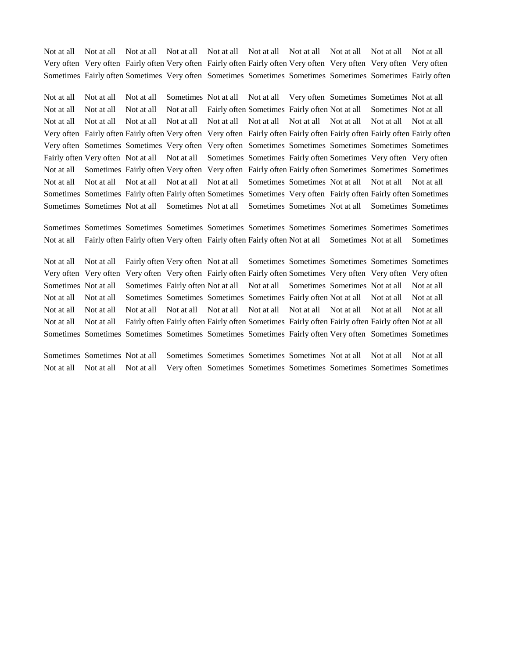Not at all Not at all Not at all Not at all Not at all Not at all Not at all Not at all Not at all Not at all Very often Very often Fairly often Very often Fairly often Fairly often Very often Very often Very often Very often Sometimes Fairly often Sometimes Very often Sometimes Sometimes Sometimes Sometimes Sometimes Fairly often

Not at all Not at all Not at all Sometimes Not at all Not at all Very often Sometimes Sometimes Not at all Not at all Not at all Not at all Not at all Fairly often Sometimes Fairly often Not at all Sometimes Not at all Not at all Not at all Not at all Not at all Not at all Not at all Not at all Not at all Not at all Not at all Very often Fairly often Fairly often Very often Very often Fairly often Fairly often Fairly often Fairly often Fairly often Very often Sometimes Sometimes Very often Very often Sometimes Sometimes Sometimes Sometimes Sometimes Fairly often Very often Not at all Not at all Sometimes Sometimes Fairly often Sometimes Very often Very often Not at all Sometimes Fairly often Very often Very often Fairly often Fairly often Sometimes Sometimes Sometimes Not at all Not at all Not at all Not at all Not at all Sometimes Sometimes Not at all Not at all Not at all Sometimes Sometimes Fairly often Fairly often Sometimes Sometimes Very often Fairly often Fairly often Sometimes Sometimes Sometimes Not at all Sometimes Not at all Sometimes Sometimes Not at all Sometimes Sometimes

Sometimes Sometimes Sometimes Sometimes Sometimes Sometimes Sometimes Sometimes Sometimes Sometimes Not at all Fairly often Fairly often Very often Fairly often Fairly often Not at all Sometimes Not at all Sometimes

Not at all Not at all Fairly often Very often Not at all Sometimes Sometimes Sometimes Sometimes Sometimes Very often Very often Very often Very often Fairly often Fairly often Sometimes Very often Very often Very often Sometimes Not at all Sometimes Fairly often Not at all Not at all Sometimes Sometimes Not at all Not at all Not at all Not at all Sometimes Sometimes Sometimes Sometimes Fairly often Not at all Not at all Not at all Not at all Not at all Not at all Not at all Not at all Not at all Not at all Not at all Not at all Not at all Not at all Not at all Fairly often Fairly often Fairly often Sometimes Fairly often Fairly often Fairly often Not at all Sometimes Sometimes Sometimes Sometimes Sometimes Sometimes Fairly often Very often Sometimes Sometimes

Sometimes Sometimes Not at all Sometimes Sometimes Sometimes Sometimes Not at all Not at all Not at all Not at all Not at all Not at all Very often Sometimes Sometimes Sometimes Sometimes Sometimes Sometimes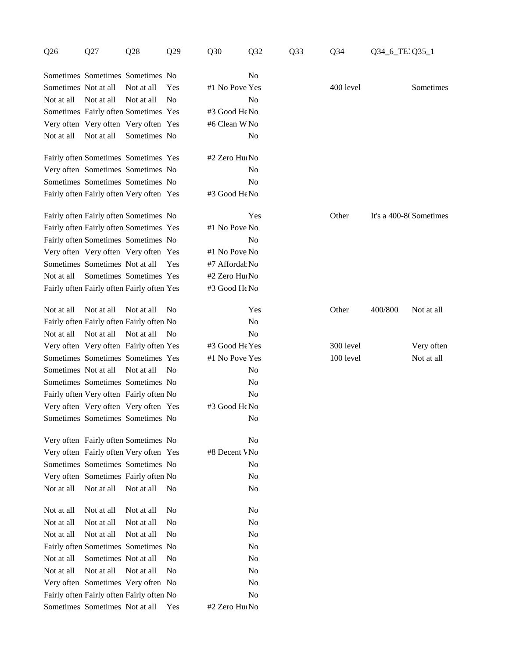| Q27<br>Q26<br>Q28<br>Q29                   | Q30<br>Q32     | $Q$ 34<br>Q33 | Q34_6_TE2Q35_1         |  |
|--------------------------------------------|----------------|---------------|------------------------|--|
| Sometimes Sometimes No                     | N <sub>o</sub> |               |                        |  |
| Sometimes Not at all Not at all Yes        | #1 No Pove Yes | 400 level     | Sometimes              |  |
| Not at all Not at all Not at all No        | No             |               |                        |  |
| Sometimes Fairly often Sometimes Yes       | #3 Good He No  |               |                        |  |
| Very often Very often Very often Yes       | #6 Clean W No  |               |                        |  |
| Not at all Not at all Sometimes No         | No             |               |                        |  |
| Fairly often Sometimes Sometimes Yes       | #2 Zero Hul No |               |                        |  |
| Very often Sometimes Sometimes No          | No             |               |                        |  |
| Sometimes Sometimes No                     | No             |               |                        |  |
| Fairly often Fairly often Very often Yes   | #3 Good He No  |               |                        |  |
| Fairly often Fairly often Sometimes No     | Yes            | Other         | It's a 400-8(Sometimes |  |
| Fairly often Fairly often Sometimes Yes    | #1 No Pove No  |               |                        |  |
| Fairly often Sometimes Sometimes No        | No             |               |                        |  |
| Very often Very often Very often Yes       | #1 No Pove No  |               |                        |  |
| Sometimes Sometimes Not at all Yes         | #7 Affordal No |               |                        |  |
| Not at all Sometimes Sometimes Yes         | #2 Zero Hu⊧No  |               |                        |  |
| Fairly often Fairly often Fairly often Yes | #3 Good He No  |               |                        |  |
| Not at all Not at all Not at all No        | Yes            | Other         | 400/800 Not at all     |  |
| Fairly often Fairly often Fairly often No  | No             |               |                        |  |
| Not at all Not at all Not at all No        | No             |               |                        |  |
| Very often Very often Fairly often Yes     | #3 Good He Yes | 300 level     | Very often             |  |
| Sometimes Sometimes Yes                    | #1 No Pove Yes | 100 level     | Not at all             |  |
| Sometimes Not at all Not at all No         | No             |               |                        |  |
| Sometimes Sometimes No                     | No             |               |                        |  |
| Fairly often Very often Fairly often No    | No             |               |                        |  |
| Very often Very often Very often Yes       | #3 Good He No  |               |                        |  |
| Sometimes Sometimes No                     | <b>No</b>      |               |                        |  |
| Very often Fairly often Sometimes No       | No             |               |                        |  |
| Very often Fairly often Very often Yes     | #8 Decent VNo  |               |                        |  |
| Sometimes Sometimes No                     | No             |               |                        |  |
| Very often Sometimes Fairly often No       | No             |               |                        |  |
| Not at all Not at all Not at all No        | No             |               |                        |  |
| Not at all Not at all Not at all No        | No             |               |                        |  |
| Not at all Not at all Not at all No        | No             |               |                        |  |
| Not at all Not at all Not at all No        | No             |               |                        |  |
| Fairly often Sometimes Sometimes No        | No             |               |                        |  |
| Not at all Sometimes Not at all No         | $\rm No$       |               |                        |  |
| Not at all Not at all Not at all No        | $\rm No$       |               |                        |  |
| Very often Sometimes Very often No         | $\rm No$       |               |                        |  |
| Fairly often Fairly often Fairly often No  | No             |               |                        |  |
| Sometimes Sometimes Not at all Yes         | #2 Zero Hu⊦No  |               |                        |  |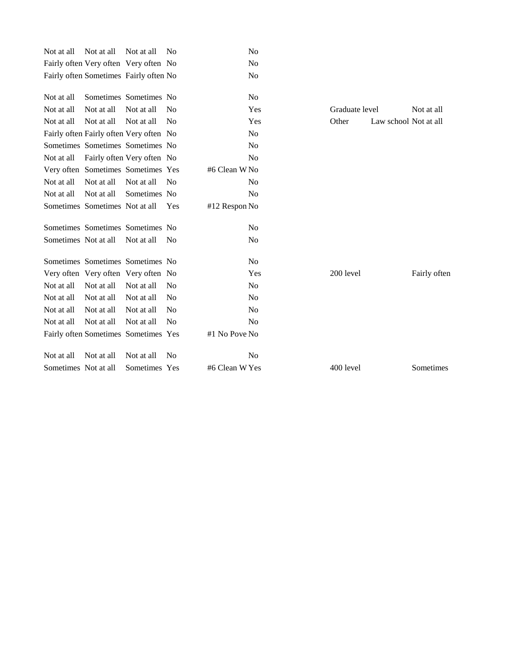| Fairly often Very often Very often No<br>No<br>No<br>Fairly often Sometimes Fairly often No<br>No<br>Not at all Sometimes Sometimes No<br>Not at all Not at all Not at all No<br>Yes<br>Not at all Not at all Not at all No<br>Yes<br>Other<br>Fairly often Fairly often Very often No<br>No<br>No<br>Sometimes Sometimes No<br>No<br>Not at all Fairly often Very often No<br>Very often Sometimes Sometimes Yes<br>#6 Clean W No<br>Not at all Not at all Not at all No<br>No<br>N <sub>0</sub><br>Not at all Not at all Sometimes No<br>Sometimes Sometimes Not at all Yes<br>#12 Respon No<br>No<br>Sometimes Sometimes No<br>N <sub>0</sub><br>Sometimes Not at all Not at all No<br>No<br>Sometimes Sometimes No<br>Very often Very often Very often No<br>200 level<br>Yes<br>Not at all Not at all Not at all No<br>No<br>Not at all Not at all No<br>No<br>Not at all<br>Not at all Not at all Not at all No<br>No<br>No<br>Not at all Not at all Not at all No<br>Fairly often Sometimes Sometimes Yes<br>#1 No Pove No<br>Not at all Not at all Not at all No<br>No<br>400 level<br>Sometimes Not at all Sometimes Yes<br>#6 Clean W Yes |                              |
|-----------------------------------------------------------------------------------------------------------------------------------------------------------------------------------------------------------------------------------------------------------------------------------------------------------------------------------------------------------------------------------------------------------------------------------------------------------------------------------------------------------------------------------------------------------------------------------------------------------------------------------------------------------------------------------------------------------------------------------------------------------------------------------------------------------------------------------------------------------------------------------------------------------------------------------------------------------------------------------------------------------------------------------------------------------------------------------------------------------------------------------------------------|------------------------------|
|                                                                                                                                                                                                                                                                                                                                                                                                                                                                                                                                                                                                                                                                                                                                                                                                                                                                                                                                                                                                                                                                                                                                                     |                              |
|                                                                                                                                                                                                                                                                                                                                                                                                                                                                                                                                                                                                                                                                                                                                                                                                                                                                                                                                                                                                                                                                                                                                                     |                              |
|                                                                                                                                                                                                                                                                                                                                                                                                                                                                                                                                                                                                                                                                                                                                                                                                                                                                                                                                                                                                                                                                                                                                                     |                              |
|                                                                                                                                                                                                                                                                                                                                                                                                                                                                                                                                                                                                                                                                                                                                                                                                                                                                                                                                                                                                                                                                                                                                                     | Not at all<br>Graduate level |
|                                                                                                                                                                                                                                                                                                                                                                                                                                                                                                                                                                                                                                                                                                                                                                                                                                                                                                                                                                                                                                                                                                                                                     | Law school Not at all        |
|                                                                                                                                                                                                                                                                                                                                                                                                                                                                                                                                                                                                                                                                                                                                                                                                                                                                                                                                                                                                                                                                                                                                                     |                              |
|                                                                                                                                                                                                                                                                                                                                                                                                                                                                                                                                                                                                                                                                                                                                                                                                                                                                                                                                                                                                                                                                                                                                                     |                              |
|                                                                                                                                                                                                                                                                                                                                                                                                                                                                                                                                                                                                                                                                                                                                                                                                                                                                                                                                                                                                                                                                                                                                                     |                              |
|                                                                                                                                                                                                                                                                                                                                                                                                                                                                                                                                                                                                                                                                                                                                                                                                                                                                                                                                                                                                                                                                                                                                                     |                              |
|                                                                                                                                                                                                                                                                                                                                                                                                                                                                                                                                                                                                                                                                                                                                                                                                                                                                                                                                                                                                                                                                                                                                                     |                              |
|                                                                                                                                                                                                                                                                                                                                                                                                                                                                                                                                                                                                                                                                                                                                                                                                                                                                                                                                                                                                                                                                                                                                                     |                              |
|                                                                                                                                                                                                                                                                                                                                                                                                                                                                                                                                                                                                                                                                                                                                                                                                                                                                                                                                                                                                                                                                                                                                                     |                              |
|                                                                                                                                                                                                                                                                                                                                                                                                                                                                                                                                                                                                                                                                                                                                                                                                                                                                                                                                                                                                                                                                                                                                                     |                              |
|                                                                                                                                                                                                                                                                                                                                                                                                                                                                                                                                                                                                                                                                                                                                                                                                                                                                                                                                                                                                                                                                                                                                                     |                              |
|                                                                                                                                                                                                                                                                                                                                                                                                                                                                                                                                                                                                                                                                                                                                                                                                                                                                                                                                                                                                                                                                                                                                                     |                              |
|                                                                                                                                                                                                                                                                                                                                                                                                                                                                                                                                                                                                                                                                                                                                                                                                                                                                                                                                                                                                                                                                                                                                                     | Fairly often                 |
|                                                                                                                                                                                                                                                                                                                                                                                                                                                                                                                                                                                                                                                                                                                                                                                                                                                                                                                                                                                                                                                                                                                                                     |                              |
|                                                                                                                                                                                                                                                                                                                                                                                                                                                                                                                                                                                                                                                                                                                                                                                                                                                                                                                                                                                                                                                                                                                                                     |                              |
|                                                                                                                                                                                                                                                                                                                                                                                                                                                                                                                                                                                                                                                                                                                                                                                                                                                                                                                                                                                                                                                                                                                                                     |                              |
|                                                                                                                                                                                                                                                                                                                                                                                                                                                                                                                                                                                                                                                                                                                                                                                                                                                                                                                                                                                                                                                                                                                                                     |                              |
|                                                                                                                                                                                                                                                                                                                                                                                                                                                                                                                                                                                                                                                                                                                                                                                                                                                                                                                                                                                                                                                                                                                                                     |                              |
|                                                                                                                                                                                                                                                                                                                                                                                                                                                                                                                                                                                                                                                                                                                                                                                                                                                                                                                                                                                                                                                                                                                                                     |                              |
|                                                                                                                                                                                                                                                                                                                                                                                                                                                                                                                                                                                                                                                                                                                                                                                                                                                                                                                                                                                                                                                                                                                                                     | Sometimes                    |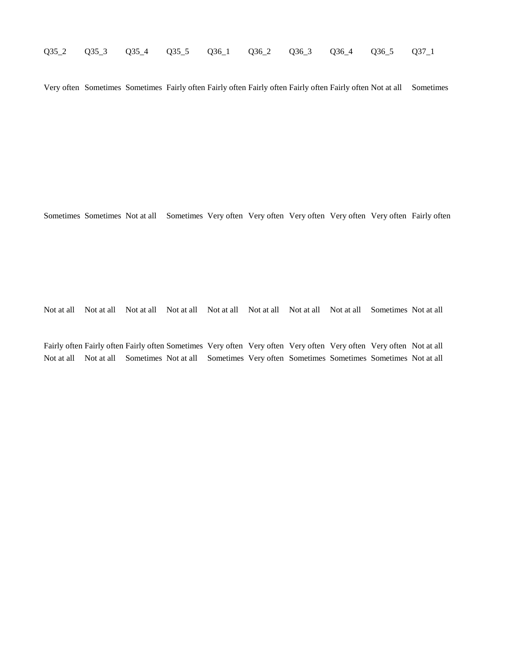| Q35_2 Q35_3 Q35_4 Q35_5 Q36_1 Q36_2 Q36_3 Q36_4 Q36_5 Q37_1 |  |  |  |  |  |  |  |  |
|-------------------------------------------------------------|--|--|--|--|--|--|--|--|
|-------------------------------------------------------------|--|--|--|--|--|--|--|--|

Very often Sometimes Sometimes Fairly often Fairly often Fairly often Fairly often Fairly often Not at all Sometimes

Sometimes Sometimes Not at all Sometimes Very often Very often Very often Very often Very often Fairly often

Not at all Not at all Not at all Not at all Not at all Not at all Not at all Not at all Sometimes Not at all

Fairly often Fairly often Fairly often Sometimes Very often Very often Very often Very often Very often Not at all Not at all Not at all Sometimes Not at all Sometimes Very often Sometimes Sometimes Sometimes Not at all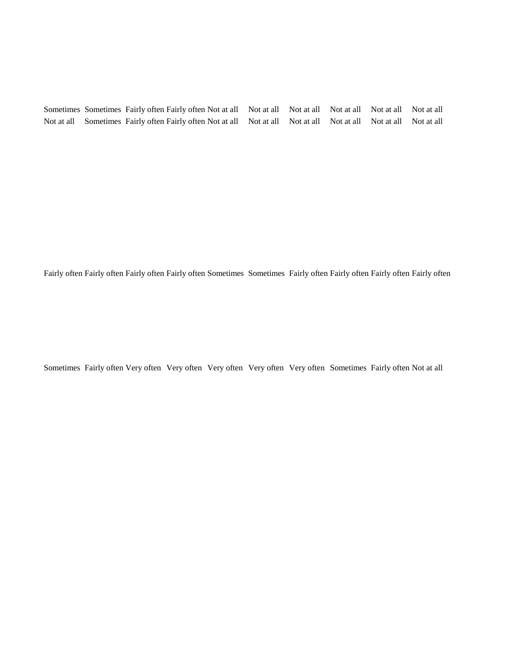|  | Sometimes Sometimes Fairly often Fairly often Not at all Not at all Not at all Not at all Not at all Not at all  |  |  |  |
|--|------------------------------------------------------------------------------------------------------------------|--|--|--|
|  | Not at all Sometimes Fairly often Fairly often Not at all Not at all Not at all Not at all Not at all Not at all |  |  |  |

Fairly often Fairly often Fairly often Fairly often Sometimes Sometimes Fairly often Fairly often Fairly often Fairly often

Sometimes Fairly often Very often Very often Very often Very often Very often Sometimes Fairly often Not at all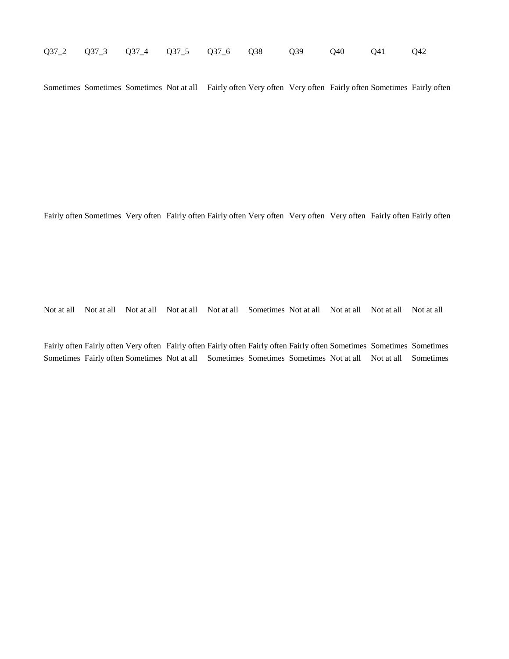|  |  |  |  |  |  | Q37_2 Q37_3 Q37_4 Q37_5 Q37_6 Q38 Q39 Q40 Q41 Q42 |  |  |  |
|--|--|--|--|--|--|---------------------------------------------------|--|--|--|
|--|--|--|--|--|--|---------------------------------------------------|--|--|--|

Sometimes Sometimes Sometimes Not at all Fairly often Very often Very often Fairly often Sometimes Fairly often

Fairly often Sometimes Very often Fairly often Fairly often Very often Very often Very often Fairly often Fairly often

Not at all Not at all Not at all Not at all Not at all Sometimes Not at all Not at all Not at all Not at all

Fairly often Fairly often Very often Fairly often Fairly often Fairly often Fairly often Sometimes Sometimes Sometimes Sometimes Fairly often Sometimes Not at all Sometimes Sometimes Sometimes Not at all Not at all Sometimes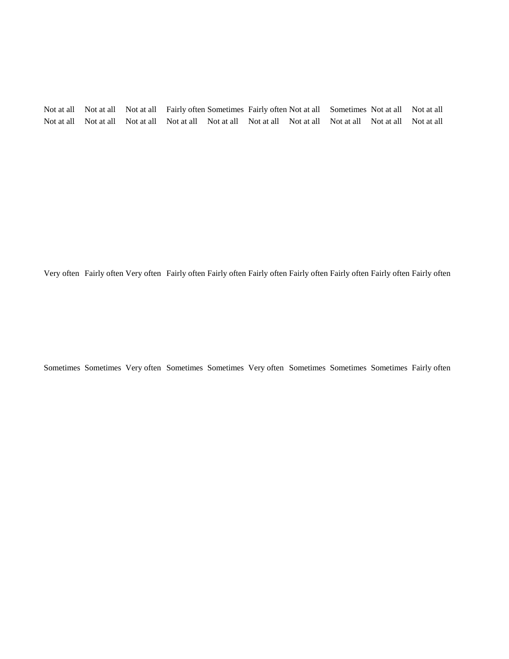Not at all Not at all Not at all Fairly often Sometimes Fairly often Not at all Sometimes Not at all Not at all Not at all Not at all Not at all Not at all Not at all Not at all Not at all Not at all Not at all Not at all

Very often Fairly often Very often Fairly often Fairly often Fairly often Fairly often Fairly often Fairly often Fairly often

Sometimes Sometimes Very often Sometimes Sometimes Very often Sometimes Sometimes Sometimes Fairly often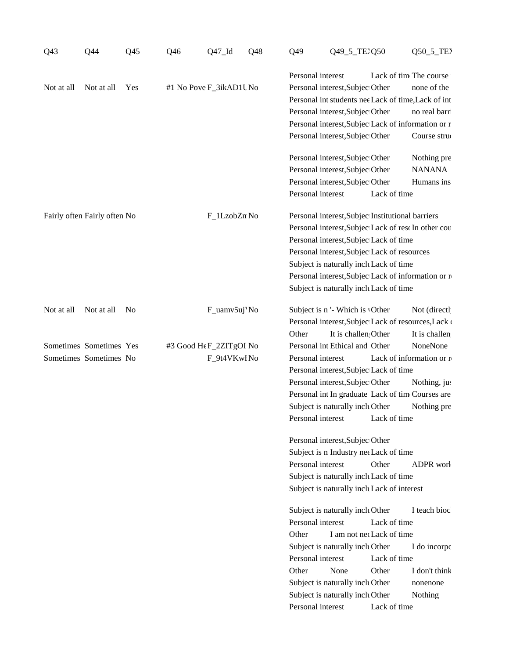| Q43<br>$Q$ 44<br>Q45         | Q46<br>$Q47$ <sub>-Id</sub><br>Q48 | Q49_5_TE2Q50<br>$Q50\_5\_TE$<br>$Q$ 49                                                               |  |  |  |
|------------------------------|------------------------------------|------------------------------------------------------------------------------------------------------|--|--|--|
|                              |                                    | Lack of time The course<br>Personal interest                                                         |  |  |  |
| Not at all Not at all Yes    | #1 No Pove F_3ikAD1U No            | Personal interest, Subjec Other none of the                                                          |  |  |  |
|                              |                                    | Personal int students nee Lack of time, Lack of int                                                  |  |  |  |
|                              |                                    | Personal interest, Subjec Other no real barri                                                        |  |  |  |
|                              |                                    | Personal interest, Subjec Lack of information or r                                                   |  |  |  |
|                              |                                    | Personal interest, Subjec Other Course struc                                                         |  |  |  |
|                              |                                    |                                                                                                      |  |  |  |
|                              |                                    | Personal interest, Subjec Other<br>Nothing pre                                                       |  |  |  |
|                              |                                    | Personal interest, Subjec Other<br><b>NANANA</b>                                                     |  |  |  |
|                              |                                    | Personal interest, Subjec Other Humans ins                                                           |  |  |  |
|                              |                                    | Personal interest Lack of time                                                                       |  |  |  |
| Fairly often Fairly often No | F_1LzobZn No                       | Personal interest, Subjec Institutional barriers                                                     |  |  |  |
|                              |                                    | Personal interest, Subjec Lack of resc In other cou                                                  |  |  |  |
|                              |                                    | Personal interest, Subjec Lack of time                                                               |  |  |  |
|                              |                                    | Personal interest, Subjec Lack of resources                                                          |  |  |  |
|                              |                                    | Subject is naturally inclu Lack of time                                                              |  |  |  |
|                              |                                    | Personal interest, Subjec Lack of information or re                                                  |  |  |  |
|                              |                                    | Subject is naturally inclu Lack of time                                                              |  |  |  |
|                              |                                    |                                                                                                      |  |  |  |
| Not at all Not at all No     | F_uamv5uj'No                       | Subject is n '- Which is 'Other Not (directl<br>Personal interest, Subjec Lack of resources, Lack of |  |  |  |
|                              |                                    | Other It is challen Other It is challen                                                              |  |  |  |
|                              |                                    |                                                                                                      |  |  |  |
| Sometimes Sometimes Yes      | #3 Good H¢F_2ZITgOI No             | Personal int Ethical and Other NoneNone                                                              |  |  |  |
| Sometimes Sometimes No       | F_9t4VKwlNo                        | Personal interest Lack of information or re                                                          |  |  |  |
|                              |                                    | Personal interest, Subjec Lack of time                                                               |  |  |  |
|                              |                                    | Personal interest, Subjec Other Nothing, just                                                        |  |  |  |
|                              |                                    | Personal int In graduate Lack of time Courses are                                                    |  |  |  |
|                              |                                    | Subject is naturally inclu Other Nothing pre                                                         |  |  |  |
|                              |                                    | Personal interest Lack of time                                                                       |  |  |  |
|                              |                                    | Personal interest, Subjec Other                                                                      |  |  |  |
|                              |                                    | Subject is n Industry net Lack of time                                                               |  |  |  |
|                              |                                    | Personal interest Other ADPR work                                                                    |  |  |  |
|                              |                                    | Subject is naturally inclu Lack of time                                                              |  |  |  |
|                              |                                    | Subject is naturally inclu Lack of interest                                                          |  |  |  |
|                              |                                    | Subject is naturally inclu Other I teach bioc                                                        |  |  |  |
|                              |                                    | Personal interest Lack of time                                                                       |  |  |  |
|                              |                                    | Other I am not nec Lack of time                                                                      |  |  |  |
|                              |                                    | Subject is naturally inclu Other I do incorpo                                                        |  |  |  |
|                              |                                    | Personal interest Lack of time                                                                       |  |  |  |
|                              |                                    |                                                                                                      |  |  |  |
|                              |                                    | Other None Other I don't think                                                                       |  |  |  |
|                              |                                    | Subject is naturally inclu Other nonenone                                                            |  |  |  |
|                              |                                    | Subject is naturally inclu Other Nothing                                                             |  |  |  |
|                              |                                    | Personal interest Lack of time                                                                       |  |  |  |
|                              |                                    |                                                                                                      |  |  |  |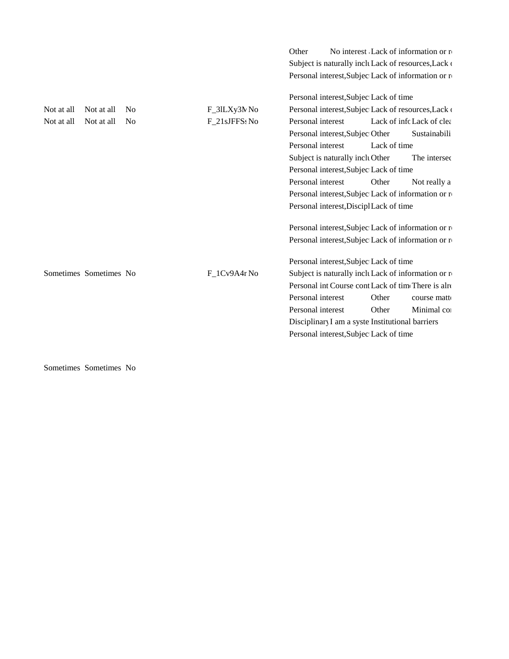|                          |               | No interest Lack of information or re<br>Other        |
|--------------------------|---------------|-------------------------------------------------------|
|                          |               | Subject is naturally inclu Lack of resources, Lack of |
|                          |               | Personal interest, Subjec Lack of information or re   |
|                          |               |                                                       |
|                          |               | Personal interest, Subjec Lack of time                |
| Not at all Not at all No | F_31LXy3N No  | Personal interest, Subjec Lack of resources, Lack of  |
| Not at all Not at all No | F_21sJFFSs No | Lack of infc Lack of clea<br>Personal interest        |
|                          |               | Personal interest, Subjec Other<br>Sustainabili       |
|                          |               | Lack of time<br>Personal interest                     |
|                          |               | Subject is naturally inclu Other<br>The intersed      |
|                          |               | Personal interest, Subjec Lack of time                |
|                          |               | Personal interest<br>Other<br>Not really a            |
|                          |               | Personal interest, Subjec Lack of information or re   |
|                          |               | Personal interest, Discipl Lack of time               |
|                          |               |                                                       |
|                          |               | Personal interest, Subjec Lack of information or re   |
|                          |               | Personal interest, Subjec Lack of information or re-  |
|                          |               |                                                       |
|                          |               | Personal interest, Subjec Lack of time                |
| Sometimes Sometimes No   | F_1Cv9A4r No  | Subject is naturally inclu Lack of information or re  |
|                          |               | Personal int Course cont Lack of time There is alre   |
|                          |               | Other<br>Personal interest<br>course matto            |
|                          |               | Other<br>Minimal co<br>Personal interest              |
|                          |               | Disciplinary I am a syste Institutional barriers      |
|                          |               | Personal interest, Subjec Lack of time                |
|                          |               |                                                       |

Sometimes Sometimes No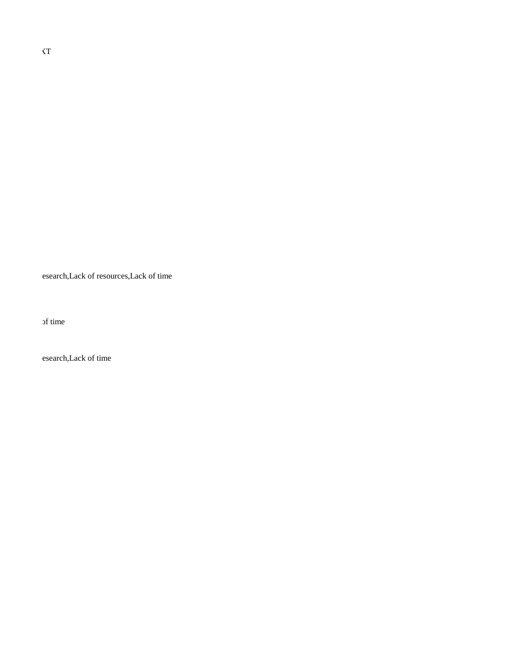esearch,Lack of resources,Lack of time

of time

esearch,Lack of time